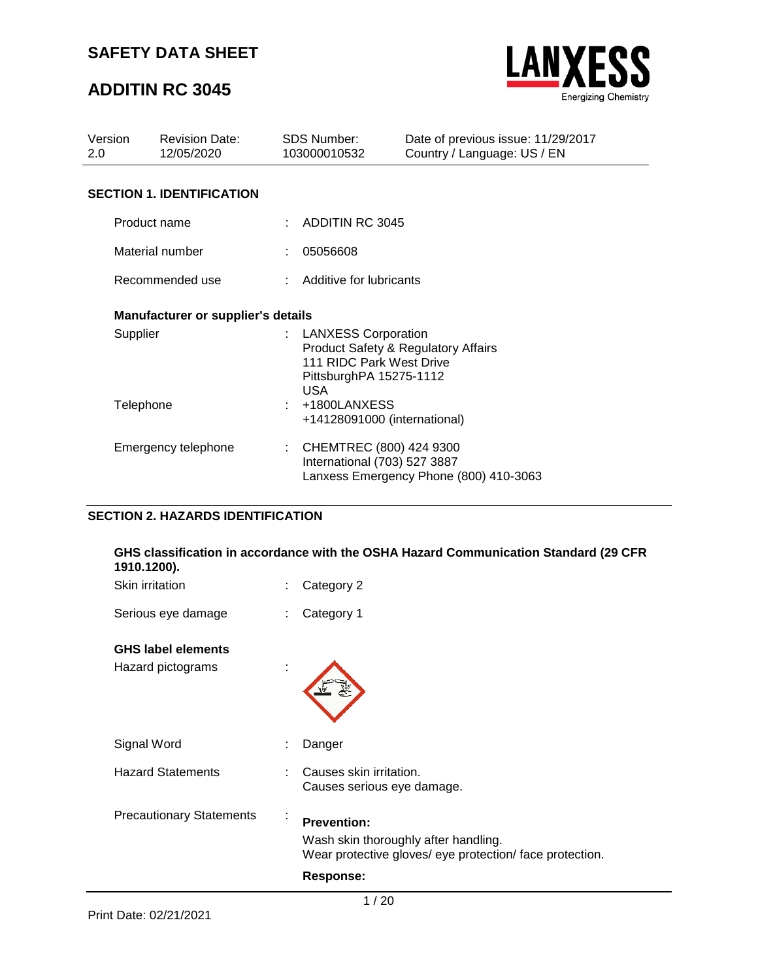## **ADDITIN RC 3045**



| Version<br>2.0 |                 | <b>Revision Date:</b><br>12/05/2020       | <b>SDS Number:</b><br>103000010532                                                                                                           | Date of previous issue: 11/29/2017<br>Country / Language: US / EN |
|----------------|-----------------|-------------------------------------------|----------------------------------------------------------------------------------------------------------------------------------------------|-------------------------------------------------------------------|
|                |                 | <b>SECTION 1. IDENTIFICATION</b>          |                                                                                                                                              |                                                                   |
|                | Product name    |                                           | $\therefore$ ADDITIN RC 3045                                                                                                                 |                                                                   |
|                | Material number |                                           | 05056608                                                                                                                                     |                                                                   |
|                | Recommended use |                                           | : Additive for lubricants                                                                                                                    |                                                                   |
|                |                 | <b>Manufacturer or supplier's details</b> |                                                                                                                                              |                                                                   |
|                | Supplier        |                                           | : LANXESS Corporation<br><b>Product Safety &amp; Regulatory Affairs</b><br>111 RIDC Park West Drive<br>PittsburghPA 15275-1112<br><b>USA</b> |                                                                   |
|                | Telephone       |                                           | +1800LANXESS<br>+14128091000 (international)                                                                                                 |                                                                   |
|                |                 | Emergency telephone                       | : CHEMTREC (800) 424 9300<br>International (703) 527 3887                                                                                    | Lanxess Emergency Phone (800) 410-3063                            |

### **SECTION 2. HAZARDS IDENTIFICATION**

#### **GHS classification in accordance with the OSHA Hazard Communication Standard (29 CFR 1910.1200).**

| Skin irritation                 | t         | Category 2                                                                                                                                 |
|---------------------------------|-----------|--------------------------------------------------------------------------------------------------------------------------------------------|
| Serious eye damage              | t         | Category 1                                                                                                                                 |
| <b>GHS label elements</b>       |           |                                                                                                                                            |
| Hazard pictograms               | ÷.        |                                                                                                                                            |
| Signal Word                     |           | Danger                                                                                                                                     |
| <b>Hazard Statements</b>        | ÷         | Causes skin irritation.<br>Causes serious eye damage.                                                                                      |
| <b>Precautionary Statements</b> | $\bullet$ | <b>Prevention:</b><br>Wash skin thoroughly after handling.<br>Wear protective gloves/ eye protection/ face protection.<br><b>Response:</b> |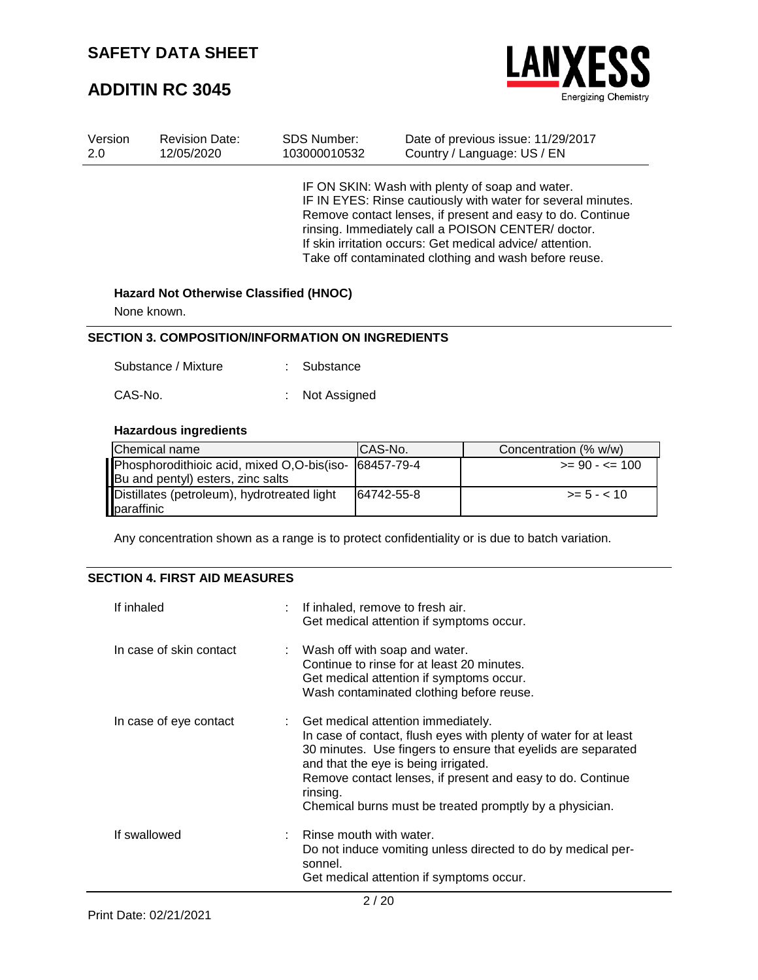## **ADDITIN RC 3045**



| Version | <b>Revision Date:</b> | <b>SDS Number:</b> | Date of previous issue: 11/29/2017                                                                                                                                                                                                                                                                                                                      |
|---------|-----------------------|--------------------|---------------------------------------------------------------------------------------------------------------------------------------------------------------------------------------------------------------------------------------------------------------------------------------------------------------------------------------------------------|
| 2.0     | 12/05/2020            | 103000010532       | Country / Language: US / EN                                                                                                                                                                                                                                                                                                                             |
|         |                       |                    | IF ON SKIN: Wash with plenty of soap and water.<br>IF IN EYES: Rinse cautiously with water for several minutes.<br>Remove contact lenses, if present and easy to do. Continue<br>rinsing. Immediately call a POISON CENTER/doctor.<br>If skin irritation occurs: Get medical advice/attention.<br>Take off contaminated clothing and wash before reuse. |

#### **Hazard Not Otherwise Classified (HNOC)**

None known.

#### **SECTION 3. COMPOSITION/INFORMATION ON INGREDIENTS**

| Substance / Mixture | : Substance |  |
|---------------------|-------------|--|
|                     |             |  |

| CAS-No. |  | Not Assigned |
|---------|--|--------------|
|---------|--|--------------|

### **Hazardous ingredients**

| Chemical name                                         | CAS-No.    | Concentration (% w/w)  |
|-------------------------------------------------------|------------|------------------------|
| Phosphorodithioic acid, mixed O,O-bis(iso- 68457-79-4 |            | $\geq$ 90 - $\leq$ 100 |
| Bu and pentyl) esters, zinc salts                     |            |                        |
| Distillates (petroleum), hydrotreated light           | 64742-55-8 | $>= 5 - < 10$          |
| paraffinic                                            |            |                        |

Any concentration shown as a range is to protect confidentiality or is due to batch variation.

### **SECTION 4. FIRST AID MEASURES**

| If inhaled              | : If inhaled, remove to fresh air.<br>Get medical attention if symptoms occur.                                                                                                                                                                                                                                                                        |
|-------------------------|-------------------------------------------------------------------------------------------------------------------------------------------------------------------------------------------------------------------------------------------------------------------------------------------------------------------------------------------------------|
| In case of skin contact | : Wash off with soap and water.<br>Continue to rinse for at least 20 minutes.<br>Get medical attention if symptoms occur.<br>Wash contaminated clothing before reuse.                                                                                                                                                                                 |
| In case of eye contact  | : Get medical attention immediately.<br>In case of contact, flush eyes with plenty of water for at least<br>30 minutes. Use fingers to ensure that eyelids are separated<br>and that the eye is being irrigated.<br>Remove contact lenses, if present and easy to do. Continue<br>rinsing.<br>Chemical burns must be treated promptly by a physician. |
| If swallowed            | Rinse mouth with water.<br>Do not induce vomiting unless directed to do by medical per-<br>sonnel.<br>Get medical attention if symptoms occur.                                                                                                                                                                                                        |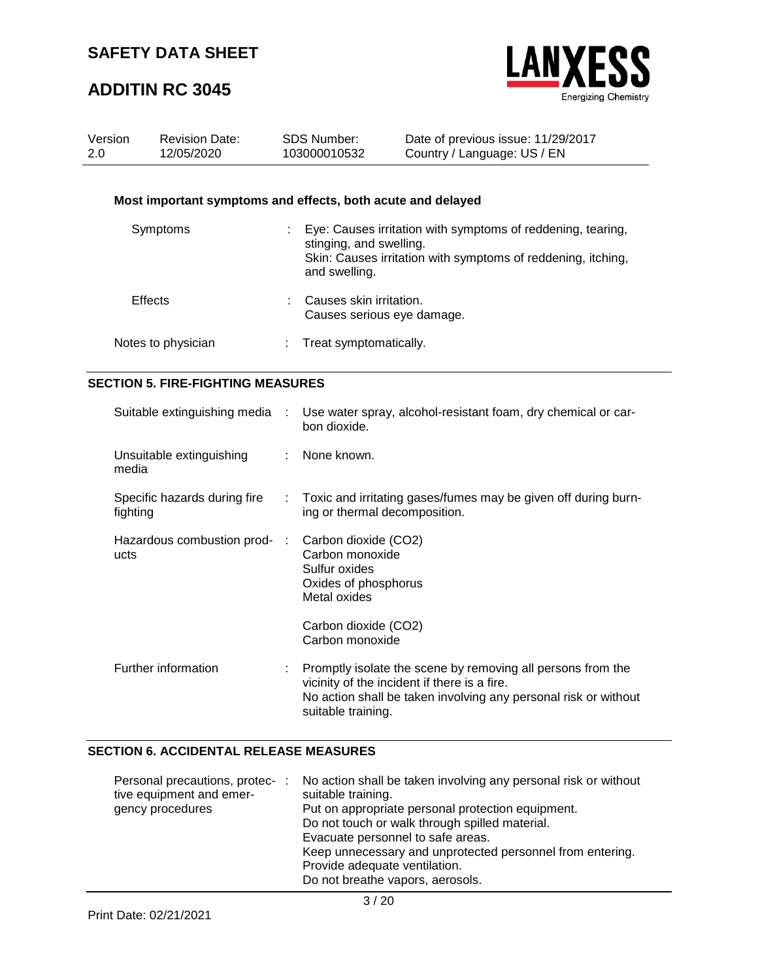## **ADDITIN RC 3045**



| Version<br>2.0                           |                    | <b>Revision Date:</b><br>12/05/2020                         |                | <b>SDS Number:</b><br>103000010532                                                               | Date of previous issue: 11/29/2017<br>Country / Language: US / EN                                                           |
|------------------------------------------|--------------------|-------------------------------------------------------------|----------------|--------------------------------------------------------------------------------------------------|-----------------------------------------------------------------------------------------------------------------------------|
|                                          |                    | Most important symptoms and effects, both acute and delayed |                |                                                                                                  |                                                                                                                             |
|                                          | Symptoms           |                                                             |                | stinging, and swelling.<br>and swelling.                                                         | Eye: Causes irritation with symptoms of reddening, tearing,<br>Skin: Causes irritation with symptoms of reddening, itching, |
|                                          | <b>Effects</b>     |                                                             |                | Causes skin irritation.<br>Causes serious eye damage.                                            |                                                                                                                             |
|                                          | Notes to physician |                                                             |                | Treat symptomatically.                                                                           |                                                                                                                             |
| <b>SECTION 5. FIRE-FIGHTING MEASURES</b> |                    |                                                             |                |                                                                                                  |                                                                                                                             |
|                                          |                    | Suitable extinguishing media                                |                | bon dioxide.                                                                                     | Use water spray, alcohol-resistant foam, dry chemical or car-                                                               |
|                                          | media              | Unsuitable extinguishing                                    |                | None known.                                                                                      |                                                                                                                             |
|                                          | fighting           | Specific hazards during fire                                | ÷              | ing or thermal decomposition.                                                                    | Toxic and irritating gases/fumes may be given off during burn-                                                              |
|                                          | ucts               | Hazardous combustion prod-                                  | $\mathbb{R}^n$ | Carbon dioxide (CO2)<br>Carbon monoxide<br>Sulfur oxides<br>Oxides of phosphorus<br>Metal oxides |                                                                                                                             |
|                                          |                    |                                                             |                | Carbon dioxide (CO2)<br>Carbon monoxide                                                          |                                                                                                                             |

| Further information | : Promptly isolate the scene by removing all persons from the<br>vicinity of the incident if there is a fire. |
|---------------------|---------------------------------------------------------------------------------------------------------------|
|                     | No action shall be taken involving any personal risk or without<br>suitable training.                         |

### **SECTION 6. ACCIDENTAL RELEASE MEASURES**

| Personal precautions, protec- :<br>tive equipment and emer-<br>gency procedures | No action shall be taken involving any personal risk or without<br>suitable training.<br>Put on appropriate personal protection equipment.<br>Do not touch or walk through spilled material.<br>Evacuate personnel to safe areas.<br>Keep unnecessary and unprotected personnel from entering.<br>Provide adequate ventilation.<br>Do not breathe vapors, aerosols. |
|---------------------------------------------------------------------------------|---------------------------------------------------------------------------------------------------------------------------------------------------------------------------------------------------------------------------------------------------------------------------------------------------------------------------------------------------------------------|
|---------------------------------------------------------------------------------|---------------------------------------------------------------------------------------------------------------------------------------------------------------------------------------------------------------------------------------------------------------------------------------------------------------------------------------------------------------------|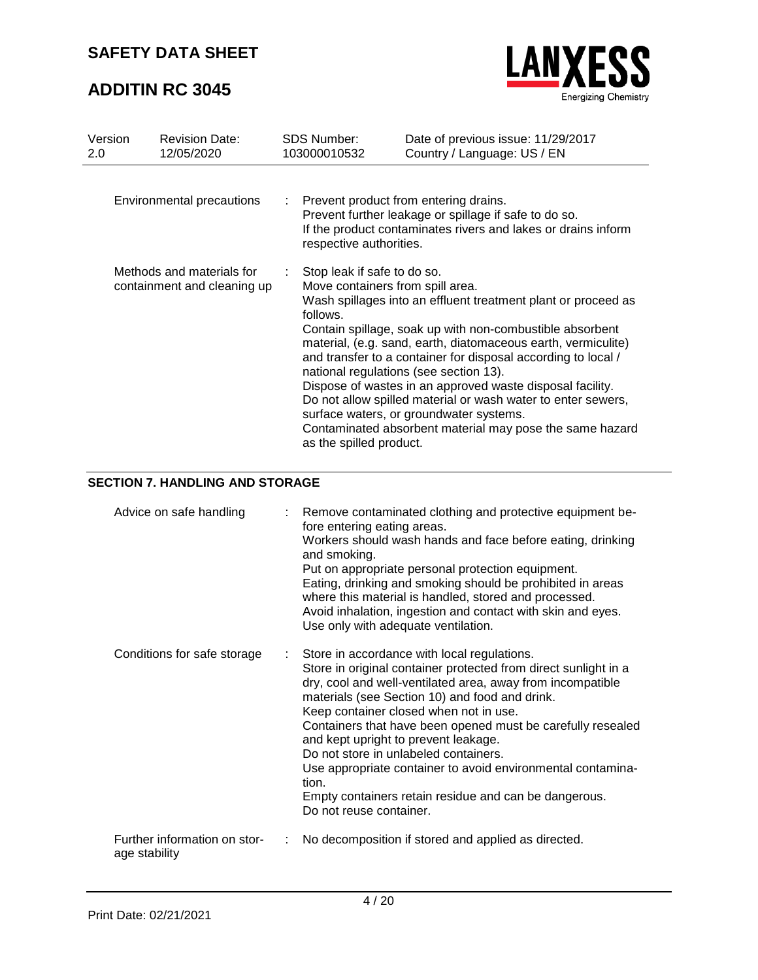## **ADDITIN RC 3045**



| Version<br>2.0                                           | <b>Revision Date:</b><br>12/05/2020 | <b>SDS Number:</b><br>103000010532                                                                     | Date of previous issue: 11/29/2017<br>Country / Language: US / EN                                                                                                                                                                                                                                                                                                                                                                                                                                                                         |
|----------------------------------------------------------|-------------------------------------|--------------------------------------------------------------------------------------------------------|-------------------------------------------------------------------------------------------------------------------------------------------------------------------------------------------------------------------------------------------------------------------------------------------------------------------------------------------------------------------------------------------------------------------------------------------------------------------------------------------------------------------------------------------|
| Environmental precautions                                |                                     | respective authorities.                                                                                | Prevent product from entering drains.<br>Prevent further leakage or spillage if safe to do so.<br>If the product contaminates rivers and lakes or drains inform                                                                                                                                                                                                                                                                                                                                                                           |
| Methods and materials for<br>containment and cleaning up |                                     | Stop leak if safe to do so.<br>Move containers from spill area.<br>follows.<br>as the spilled product. | Wash spillages into an effluent treatment plant or proceed as<br>Contain spillage, soak up with non-combustible absorbent<br>material, (e.g. sand, earth, diatomaceous earth, vermiculite)<br>and transfer to a container for disposal according to local /<br>national regulations (see section 13).<br>Dispose of wastes in an approved waste disposal facility.<br>Do not allow spilled material or wash water to enter sewers,<br>surface waters, or groundwater systems.<br>Contaminated absorbent material may pose the same hazard |

### **SECTION 7. HANDLING AND STORAGE**

| Advice on safe handling                       |    | : Remove contaminated clothing and protective equipment be-<br>fore entering eating areas.<br>Workers should wash hands and face before eating, drinking<br>and smoking.<br>Put on appropriate personal protection equipment.<br>Eating, drinking and smoking should be prohibited in areas<br>where this material is handled, stored and processed.<br>Avoid inhalation, ingestion and contact with skin and eyes.<br>Use only with adequate ventilation.                                                                                                                           |
|-----------------------------------------------|----|--------------------------------------------------------------------------------------------------------------------------------------------------------------------------------------------------------------------------------------------------------------------------------------------------------------------------------------------------------------------------------------------------------------------------------------------------------------------------------------------------------------------------------------------------------------------------------------|
| Conditions for safe storage                   |    | Store in accordance with local regulations.<br>Store in original container protected from direct sunlight in a<br>dry, cool and well-ventilated area, away from incompatible<br>materials (see Section 10) and food and drink.<br>Keep container closed when not in use.<br>Containers that have been opened must be carefully resealed<br>and kept upright to prevent leakage.<br>Do not store in unlabeled containers.<br>Use appropriate container to avoid environmental contamina-<br>tion.<br>Empty containers retain residue and can be dangerous.<br>Do not reuse container. |
| Further information on stor-<br>age stability | ÷. | No decomposition if stored and applied as directed.                                                                                                                                                                                                                                                                                                                                                                                                                                                                                                                                  |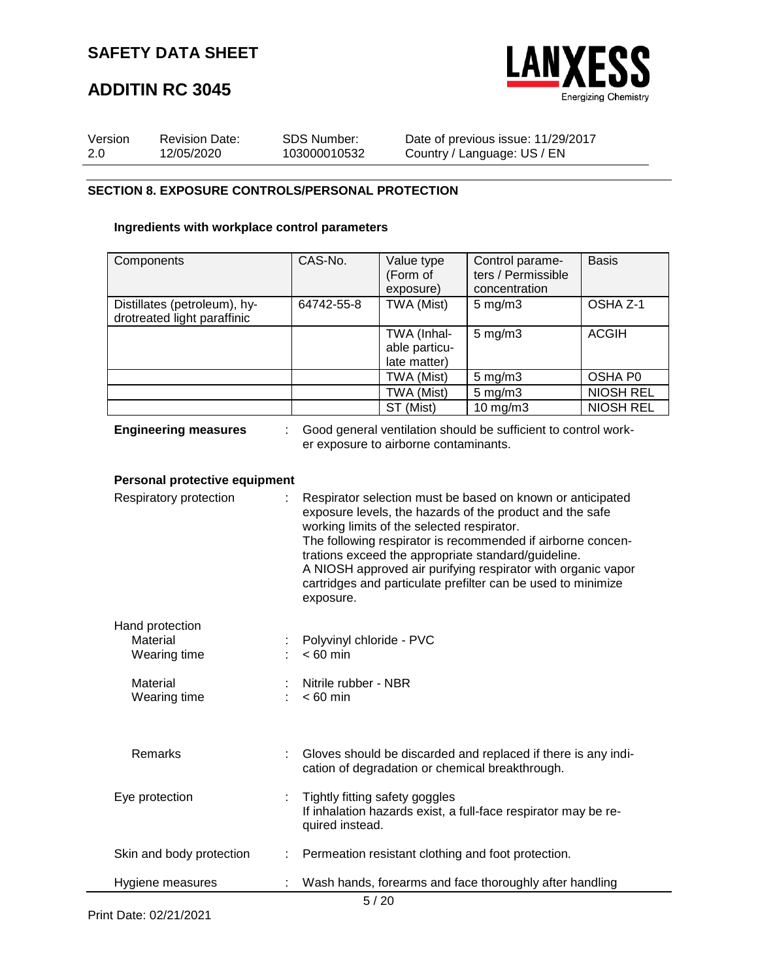

## **ADDITIN RC 3045**

| Version | <b>Revision Date:</b> | SDS Number:  | Date of previous issue: 11/29/2017 |
|---------|-----------------------|--------------|------------------------------------|
| 2.0     | 12/05/2020            | 103000010532 | Country / Language: US / EN        |

#### **SECTION 8. EXPOSURE CONTROLS/PERSONAL PROTECTION**

### **Ingredients with workplace control parameters**

| Components                                                  | CAS-No.                                | Value type                                 | Control parame-                                                                                                                                                                                                                                                                                                                                                              | <b>Basis</b>        |
|-------------------------------------------------------------|----------------------------------------|--------------------------------------------|------------------------------------------------------------------------------------------------------------------------------------------------------------------------------------------------------------------------------------------------------------------------------------------------------------------------------------------------------------------------------|---------------------|
|                                                             |                                        | (Form of                                   | ters / Permissible                                                                                                                                                                                                                                                                                                                                                           |                     |
|                                                             |                                        | exposure)                                  | concentration                                                                                                                                                                                                                                                                                                                                                                |                     |
| Distillates (petroleum), hy-<br>drotreated light paraffinic | 64742-55-8                             | TWA (Mist)                                 | $5 \text{ mg/m}$ 3                                                                                                                                                                                                                                                                                                                                                           | OSHA <sub>Z-1</sub> |
|                                                             |                                        | TWA (Inhal-                                | $5$ mg/m $3$                                                                                                                                                                                                                                                                                                                                                                 | <b>ACGIH</b>        |
|                                                             |                                        | able particu-                              |                                                                                                                                                                                                                                                                                                                                                                              |                     |
|                                                             |                                        | late matter)                               |                                                                                                                                                                                                                                                                                                                                                                              |                     |
|                                                             |                                        | TWA (Mist)                                 | $5$ mg/m $3$                                                                                                                                                                                                                                                                                                                                                                 | <b>OSHA P0</b>      |
|                                                             |                                        | TWA (Mist)                                 | $5$ mg/m $3$                                                                                                                                                                                                                                                                                                                                                                 | <b>NIOSH REL</b>    |
|                                                             |                                        | ST (Mist)                                  | $10$ mg/m $3$                                                                                                                                                                                                                                                                                                                                                                | <b>NIOSH REL</b>    |
| <b>Engineering measures</b>                                 |                                        | er exposure to airborne contaminants.      | Good general ventilation should be sufficient to control work-                                                                                                                                                                                                                                                                                                               |                     |
| Personal protective equipment                               |                                        |                                            |                                                                                                                                                                                                                                                                                                                                                                              |                     |
| Respiratory protection                                      | exposure.                              | working limits of the selected respirator. | Respirator selection must be based on known or anticipated<br>exposure levels, the hazards of the product and the safe<br>The following respirator is recommended if airborne concen-<br>trations exceed the appropriate standard/guideline.<br>A NIOSH approved air purifying respirator with organic vapor<br>cartridges and particulate prefilter can be used to minimize |                     |
| Hand protection                                             |                                        |                                            |                                                                                                                                                                                                                                                                                                                                                                              |                     |
| Material<br>Wearing time                                    | Polyvinyl chloride - PVC<br>$< 60$ min |                                            |                                                                                                                                                                                                                                                                                                                                                                              |                     |
|                                                             |                                        |                                            |                                                                                                                                                                                                                                                                                                                                                                              |                     |
| Material<br>Wearing time                                    | Nitrile rubber - NBR<br>$< 60$ min     |                                            |                                                                                                                                                                                                                                                                                                                                                                              |                     |
|                                                             |                                        |                                            |                                                                                                                                                                                                                                                                                                                                                                              |                     |
| Remarks                                                     |                                        |                                            | Gloves should be discarded and replaced if there is any indi-<br>cation of degradation or chemical breakthrough.                                                                                                                                                                                                                                                             |                     |
| Eye protection                                              |                                        | Tightly fitting safety goggles             |                                                                                                                                                                                                                                                                                                                                                                              |                     |

If inhalation hazards exist, a full-face respirator may be required instead. Skin and body protection : Permeation resistant clothing and foot protection.

|--|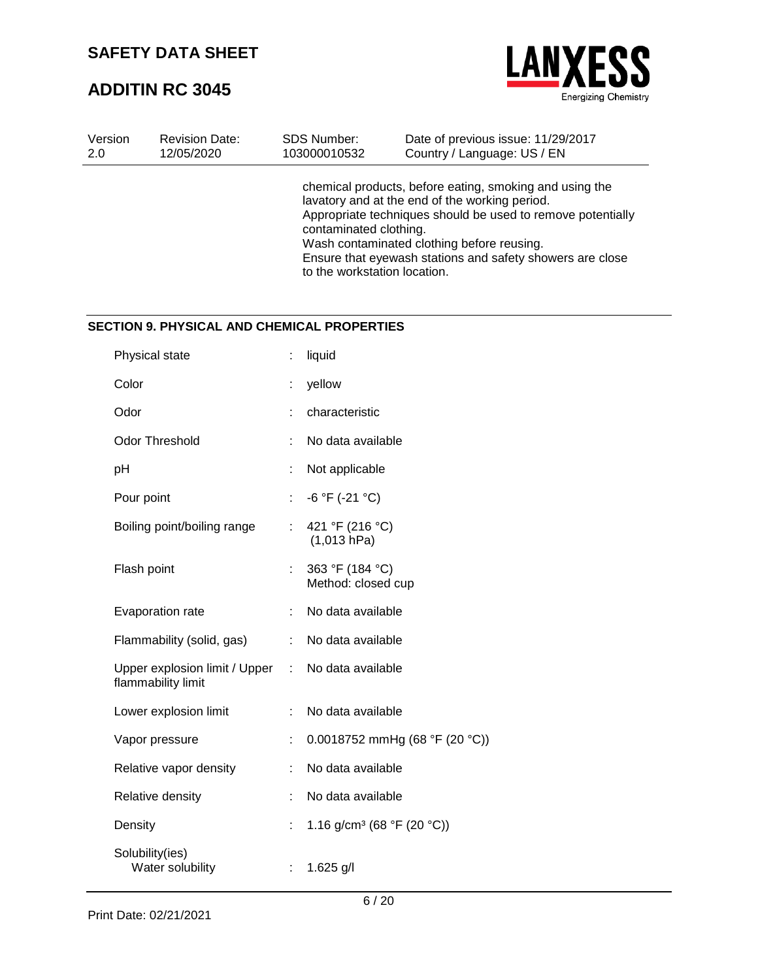## **ADDITIN RC 3045**



| Version | <b>Revision Date:</b> | SDS Number:                                            | Date of previous issue: 11/29/2017                                                                                                                                                                                                                                                  |
|---------|-----------------------|--------------------------------------------------------|-------------------------------------------------------------------------------------------------------------------------------------------------------------------------------------------------------------------------------------------------------------------------------------|
| 2.0     | 12/05/2020            | 103000010532                                           | Country / Language: US / EN                                                                                                                                                                                                                                                         |
|         |                       | contaminated clothing.<br>to the workstation location. | chemical products, before eating, smoking and using the<br>lavatory and at the end of the working period.<br>Appropriate techniques should be used to remove potentially<br>Wash contaminated clothing before reusing.<br>Ensure that eyewash stations and safety showers are close |

### **SECTION 9. PHYSICAL AND CHEMICAL PROPERTIES**

| Physical state                                      |    | liquid                                 |
|-----------------------------------------------------|----|----------------------------------------|
| Color                                               |    | yellow                                 |
| Odor                                                |    | characteristic                         |
| <b>Odor Threshold</b>                               |    | No data available                      |
| рH                                                  |    | Not applicable                         |
| Pour point                                          | ÷  | $-6 °F (-21 °C)$                       |
| Boiling point/boiling range                         | t. | 421 °F (216 °C)<br>(1,013 hPa)         |
| Flash point                                         |    | 363 °F (184 °C)<br>Method: closed cup  |
| Evaporation rate                                    |    | No data available                      |
| Flammability (solid, gas)                           |    | No data available                      |
| Upper explosion limit / Upper<br>flammability limit | ÷  | No data available                      |
| Lower explosion limit                               |    | No data available                      |
| Vapor pressure                                      |    | 0.0018752 mmHg (68 °F (20 °C))         |
| Relative vapor density                              |    | No data available                      |
| Relative density                                    |    | No data available                      |
| Density                                             |    | 1.16 g/cm <sup>3</sup> (68 °F (20 °C)) |
| Solubility(ies)<br>Water solubility                 |    | $1.625$ g/l                            |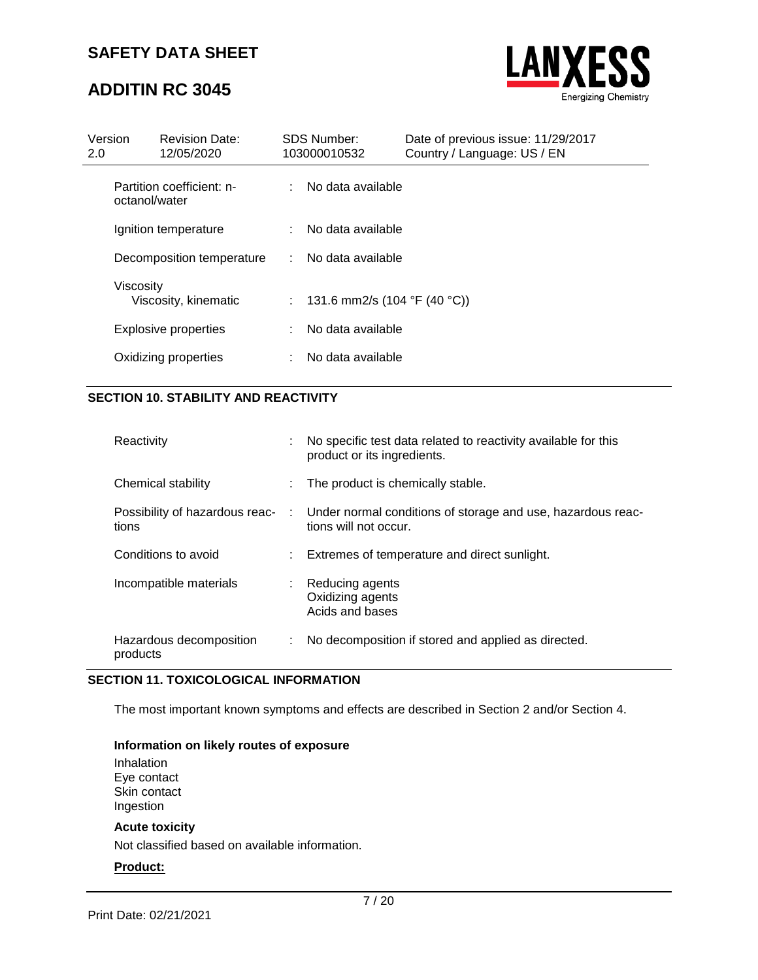## **ADDITIN RC 3045**



| Version<br>2.0 | <b>Revision Date:</b><br>12/05/2020        | <b>SDS Number:</b><br>103000010532 | Date of previous issue: 11/29/2017<br>Country / Language: US / EN |  |
|----------------|--------------------------------------------|------------------------------------|-------------------------------------------------------------------|--|
|                | Partition coefficient: n-<br>octanol/water | : No data available                |                                                                   |  |
|                | Ignition temperature                       | : No data available                |                                                                   |  |
|                | Decomposition temperature                  | : No data available                |                                                                   |  |
| Viscosity      | Viscosity, kinematic                       | : 131.6 mm2/s (104 °F (40 °C))     |                                                                   |  |
|                | <b>Explosive properties</b>                | No data available                  |                                                                   |  |
|                | Oxidizing properties                       | No data available                  |                                                                   |  |
|                |                                            |                                    |                                                                   |  |

### **SECTION 10. STABILITY AND REACTIVITY**

| Reactivity                                | No specific test data related to reactivity available for this<br>product or its ingredients. |
|-------------------------------------------|-----------------------------------------------------------------------------------------------|
| Chemical stability                        | The product is chemically stable.                                                             |
| Possibility of hazardous reac- :<br>tions | Under normal conditions of storage and use, hazardous reac-<br>tions will not occur.          |
| Conditions to avoid                       | : Extremes of temperature and direct sunlight.                                                |
| Incompatible materials                    | : Reducing agents<br>Oxidizing agents<br>Acids and bases                                      |
| Hazardous decomposition<br>products       | No decomposition if stored and applied as directed.                                           |

### **SECTION 11. TOXICOLOGICAL INFORMATION**

The most important known symptoms and effects are described in Section 2 and/or Section 4.

#### **Information on likely routes of exposure**

Inhalation Eye contact Skin contact Ingestion

#### **Acute toxicity**

Not classified based on available information.

#### **Product:**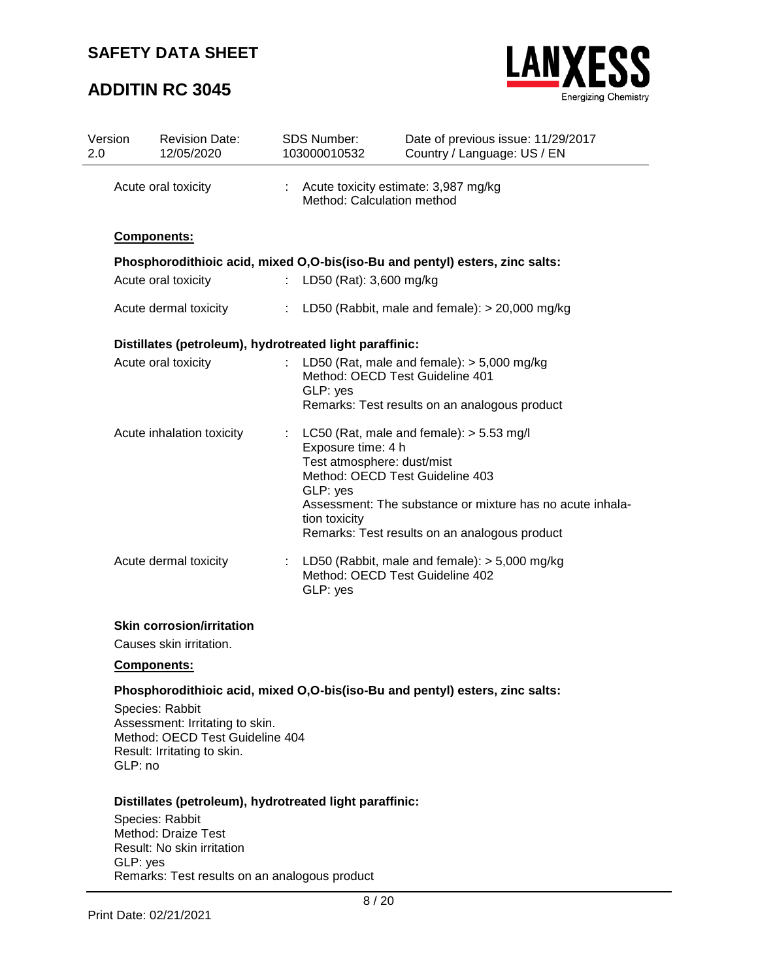## **ADDITIN RC 3045**



| Version<br>2.0 | <b>Revision Date:</b><br>12/05/2020                     |    | <b>SDS Number:</b><br>103000010532                                            | Date of previous issue: 11/29/2017<br>Country / Language: US / EN                                                                                                                           |
|----------------|---------------------------------------------------------|----|-------------------------------------------------------------------------------|---------------------------------------------------------------------------------------------------------------------------------------------------------------------------------------------|
|                | Acute oral toxicity                                     |    | Method: Calculation method                                                    | Acute toxicity estimate: 3,987 mg/kg                                                                                                                                                        |
|                | Components:                                             |    |                                                                               |                                                                                                                                                                                             |
|                |                                                         |    |                                                                               | Phosphorodithioic acid, mixed O,O-bis(iso-Bu and pentyl) esters, zinc salts:                                                                                                                |
|                | Acute oral toxicity                                     | t. | LD50 (Rat): 3,600 mg/kg                                                       |                                                                                                                                                                                             |
|                | Acute dermal toxicity                                   |    |                                                                               | : LD50 (Rabbit, male and female): $> 20,000$ mg/kg                                                                                                                                          |
|                | Distillates (petroleum), hydrotreated light paraffinic: |    |                                                                               |                                                                                                                                                                                             |
|                | Acute oral toxicity                                     |    | GLP: yes                                                                      | : LD50 (Rat, male and female): $>$ 5,000 mg/kg<br>Method: OECD Test Guideline 401<br>Remarks: Test results on an analogous product                                                          |
|                | Acute inhalation toxicity<br>÷                          |    | Exposure time: 4 h<br>Test atmosphere: dust/mist<br>GLP: yes<br>tion toxicity | LC50 (Rat, male and female): $> 5.53$ mg/l<br>Method: OECD Test Guideline 403<br>Assessment: The substance or mixture has no acute inhala-<br>Remarks: Test results on an analogous product |
|                | Acute dermal toxicity                                   | ÷  | GLP: yes                                                                      | LD50 (Rabbit, male and female): $>$ 5,000 mg/kg<br>Method: OECD Test Guideline 402                                                                                                          |
|                |                                                         |    |                                                                               |                                                                                                                                                                                             |

### **Skin corrosion/irritation**

Causes skin irritation.

### **Components:**

### **Phosphorodithioic acid, mixed O,O-bis(iso-Bu and pentyl) esters, zinc salts:**

Species: Rabbit Assessment: Irritating to skin. Method: OECD Test Guideline 404 Result: Irritating to skin. GLP: no

#### **Distillates (petroleum), hydrotreated light paraffinic:**

Species: Rabbit Method: Draize Test Result: No skin irritation GLP: yes Remarks: Test results on an analogous product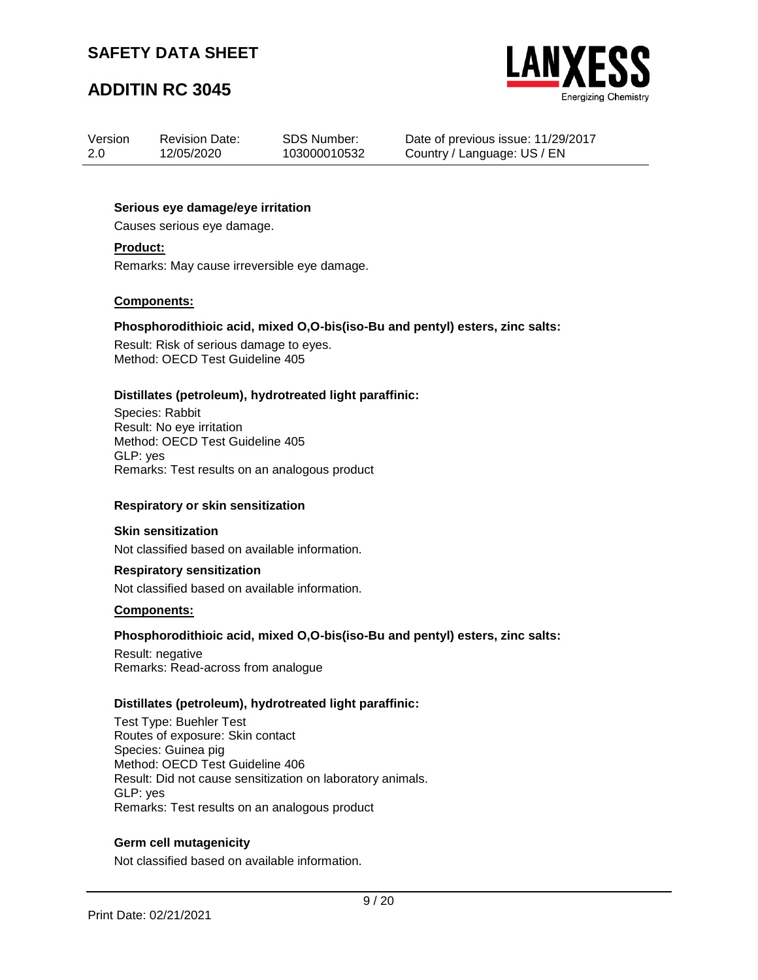## **ADDITIN RC 3045**



| Version | <b>Revision Date:</b> | SDS Number:  |
|---------|-----------------------|--------------|
| 2.0     | 12/05/2020            | 103000010532 |

Date of previous issue: 11/29/2017 Country / Language: US / EN

#### **Serious eye damage/eye irritation**

Causes serious eye damage.

#### **Product:**

Remarks: May cause irreversible eye damage.

#### **Components:**

#### **Phosphorodithioic acid, mixed O,O-bis(iso-Bu and pentyl) esters, zinc salts:**

Result: Risk of serious damage to eyes. Method: OECD Test Guideline 405

#### **Distillates (petroleum), hydrotreated light paraffinic:**

Species: Rabbit Result: No eye irritation Method: OECD Test Guideline 405 GLP: yes Remarks: Test results on an analogous product

#### **Respiratory or skin sensitization**

#### **Skin sensitization**

Not classified based on available information.

#### **Respiratory sensitization**

Not classified based on available information.

#### **Components:**

#### **Phosphorodithioic acid, mixed O,O-bis(iso-Bu and pentyl) esters, zinc salts:**

Result: negative Remarks: Read-across from analogue

#### **Distillates (petroleum), hydrotreated light paraffinic:**

Test Type: Buehler Test Routes of exposure: Skin contact Species: Guinea pig Method: OECD Test Guideline 406 Result: Did not cause sensitization on laboratory animals. GLP: yes Remarks: Test results on an analogous product

#### **Germ cell mutagenicity**

Not classified based on available information.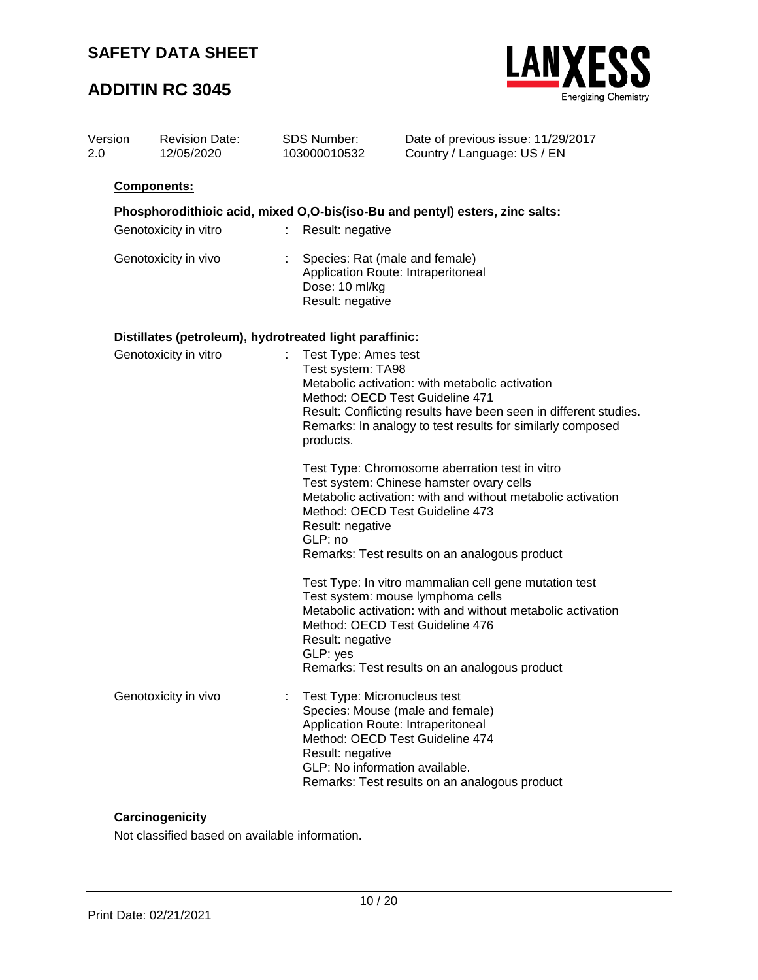## **ADDITIN RC 3045**



| Version<br>2.0 | <b>Revision Date:</b><br>12/05/2020                     | SDS Number:<br>103000010532                            | Date of previous issue: 11/29/2017<br>Country / Language: US / EN                                                                                                                                                                             |
|----------------|---------------------------------------------------------|--------------------------------------------------------|-----------------------------------------------------------------------------------------------------------------------------------------------------------------------------------------------------------------------------------------------|
|                | Components:                                             |                                                        |                                                                                                                                                                                                                                               |
|                |                                                         |                                                        | Phosphorodithioic acid, mixed O, O-bis (iso-Bu and pentyl) esters, zinc salts:                                                                                                                                                                |
|                | Genotoxicity in vitro                                   | Result: negative<br>÷.                                 |                                                                                                                                                                                                                                               |
|                | Genotoxicity in vivo                                    | Dose: 10 ml/kg<br>Result: negative                     | Species: Rat (male and female)<br>Application Route: Intraperitoneal                                                                                                                                                                          |
|                | Distillates (petroleum), hydrotreated light paraffinic: |                                                        |                                                                                                                                                                                                                                               |
|                | Genotoxicity in vitro                                   | Test Type: Ames test<br>Test system: TA98<br>products. | Metabolic activation: with metabolic activation<br>Method: OECD Test Guideline 471<br>Result: Conflicting results have been seen in different studies.<br>Remarks: In analogy to test results for similarly composed                          |
|                |                                                         | Result: negative<br>GLP: no                            | Test Type: Chromosome aberration test in vitro<br>Test system: Chinese hamster ovary cells<br>Metabolic activation: with and without metabolic activation<br>Method: OECD Test Guideline 473<br>Remarks: Test results on an analogous product |
|                |                                                         | Result: negative<br>GLP: yes                           | Test Type: In vitro mammalian cell gene mutation test<br>Test system: mouse lymphoma cells<br>Metabolic activation: with and without metabolic activation<br>Method: OECD Test Guideline 476<br>Remarks: Test results on an analogous product |
|                | Genotoxicity in vivo                                    | Result: negative                                       | Test Type: Micronucleus test<br>Species: Mouse (male and female)<br>Application Route: Intraperitoneal<br>Method: OECD Test Guideline 474<br>GLP: No information available.<br>Remarks: Test results on an analogous product                  |

### **Carcinogenicity**

Not classified based on available information.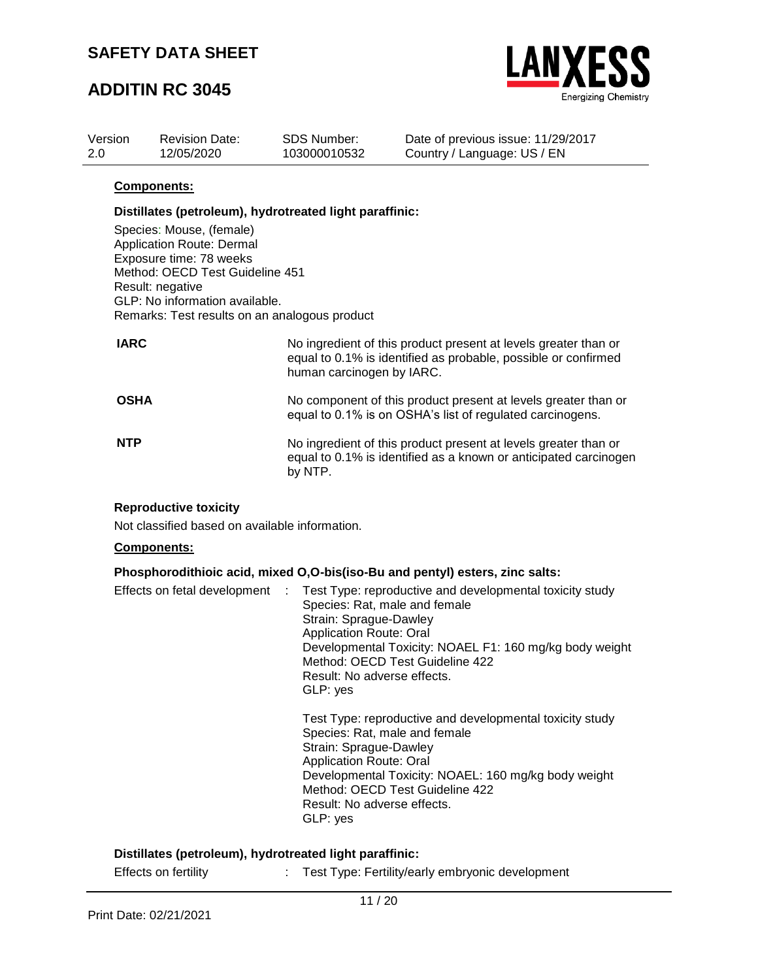## **ADDITIN RC 3045**



| Version<br>2.0 | <b>Revision Date:</b><br>12/05/2020           | <b>SDS Number:</b><br>103000010532                      | Date of previous issue: 11/29/2017<br>Country / Language: US / EN                                                        |  |  |
|----------------|-----------------------------------------------|---------------------------------------------------------|--------------------------------------------------------------------------------------------------------------------------|--|--|
|                | <b>Components:</b>                            |                                                         |                                                                                                                          |  |  |
|                |                                               | Distillates (petroleum), hydrotreated light paraffinic: |                                                                                                                          |  |  |
|                | Species: Mouse, (female)                      |                                                         |                                                                                                                          |  |  |
|                | <b>Application Route: Dermal</b>              |                                                         |                                                                                                                          |  |  |
|                | Exposure time: 78 weeks                       |                                                         |                                                                                                                          |  |  |
|                | Method: OECD Test Guideline 451               |                                                         |                                                                                                                          |  |  |
|                | Result: negative                              |                                                         |                                                                                                                          |  |  |
|                | GLP: No information available.                |                                                         |                                                                                                                          |  |  |
|                | Remarks: Test results on an analogous product |                                                         |                                                                                                                          |  |  |
| <b>IARC</b>    |                                               |                                                         | No ingredient of this product present at levels greater that<br>agusta 0.40/ is identified as probable peachble areastir |  |  |

| <b>IARC</b> | No ingredient of this product present at levels greater than or<br>equal to 0.1% is identified as probable, possible or confirmed<br>human carcinogen by IARC. |
|-------------|----------------------------------------------------------------------------------------------------------------------------------------------------------------|
| <b>OSHA</b> | No component of this product present at levels greater than or<br>equal to 0.1% is on OSHA's list of regulated carcinogens.                                    |
| <b>NTP</b>  | No ingredient of this product present at levels greater than or<br>equal to 0.1% is identified as a known or anticipated carcinogen<br>by NTP.                 |

#### **Reproductive toxicity**

Not classified based on available information.

### **Components:**

#### **Phosphorodithioic acid, mixed O,O-bis(iso-Bu and pentyl) esters, zinc salts:**

| Effects on fetal development : Test Type: reproductive and developmental toxicity study<br>Species: Rat, male and female<br>Strain: Sprague-Dawley<br><b>Application Route: Oral</b><br>Developmental Toxicity: NOAEL F1: 160 mg/kg body weight<br>Method: OECD Test Guideline 422<br>Result: No adverse effects.<br>GLP: yes |
|-------------------------------------------------------------------------------------------------------------------------------------------------------------------------------------------------------------------------------------------------------------------------------------------------------------------------------|
| Test Type: reproductive and developmental toxicity study<br>Species: Rat, male and female<br>Strain: Sprague-Dawley<br><b>Application Route: Oral</b><br>Developmental Toxicity: NOAEL: 160 mg/kg body weight<br>Method: OECD Test Guideline 422<br>Result: No adverse effects.<br>GLP: yes                                   |

#### **Distillates (petroleum), hydrotreated light paraffinic:**

| Effects on fertility | Test Type: Fertility/early embryonic development |
|----------------------|--------------------------------------------------|
|                      |                                                  |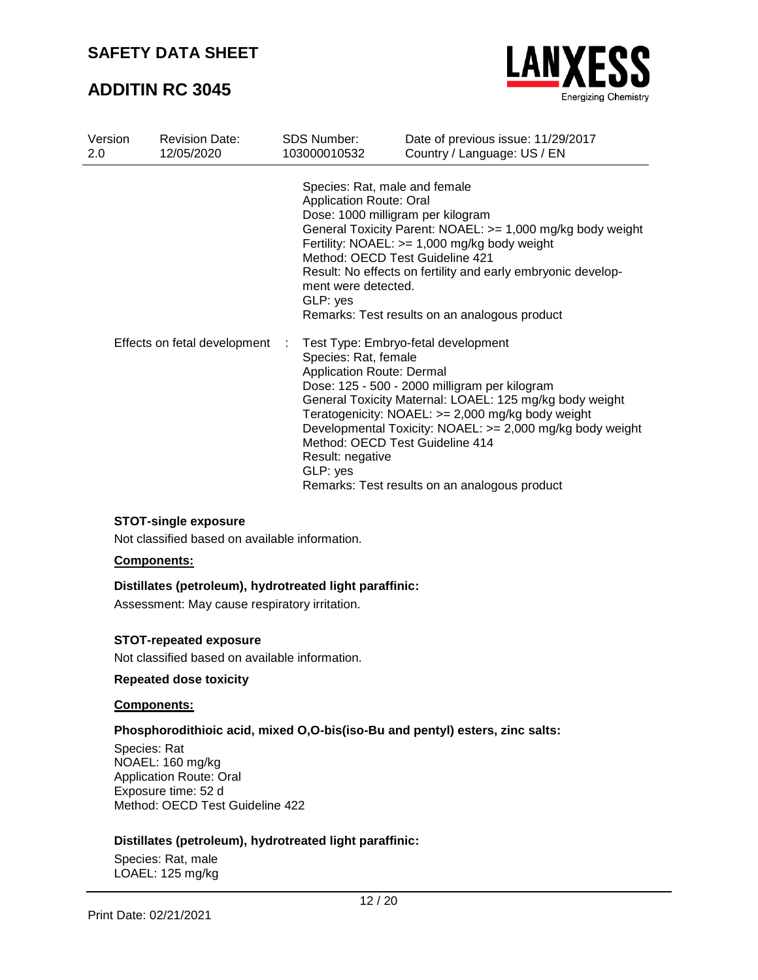## **ADDITIN RC 3045**



| Version<br>2.0               | <b>Revision Date:</b><br>12/05/2020 | <b>SDS Number:</b><br>103000010532                                                            | Date of previous issue: 11/29/2017<br>Country / Language: US / EN                                                                                                                                                                                                                                                                                     |
|------------------------------|-------------------------------------|-----------------------------------------------------------------------------------------------|-------------------------------------------------------------------------------------------------------------------------------------------------------------------------------------------------------------------------------------------------------------------------------------------------------------------------------------------------------|
| Effects on fetal development |                                     | <b>Application Route: Oral</b><br>ment were detected.<br>GLP: yes                             | Species: Rat, male and female<br>Dose: 1000 milligram per kilogram<br>General Toxicity Parent: NOAEL: >= 1,000 mg/kg body weight<br>Fertility: $NOAEL: >= 1,000 mg/kg$ body weight<br>Method: OECD Test Guideline 421<br>Result: No effects on fertility and early embryonic develop-<br>Remarks: Test results on an analogous product                |
|                              |                                     | ÷<br>Species: Rat, female<br><b>Application Route: Dermal</b><br>Result: negative<br>GLP: yes | Test Type: Embryo-fetal development<br>Dose: 125 - 500 - 2000 milligram per kilogram<br>General Toxicity Maternal: LOAEL: 125 mg/kg body weight<br>Teratogenicity: NOAEL: >= 2,000 mg/kg body weight<br>Developmental Toxicity: NOAEL: >= 2,000 mg/kg body weight<br>Method: OECD Test Guideline 414<br>Remarks: Test results on an analogous product |

### **STOT-single exposure**

Not classified based on available information.

#### **Components:**

### **Distillates (petroleum), hydrotreated light paraffinic:**

Assessment: May cause respiratory irritation.

#### **STOT-repeated exposure**

Not classified based on available information.

#### **Repeated dose toxicity**

#### **Components:**

### **Phosphorodithioic acid, mixed O,O-bis(iso-Bu and pentyl) esters, zinc salts:**

Species: Rat NOAEL: 160 mg/kg Application Route: Oral Exposure time: 52 d Method: OECD Test Guideline 422

### **Distillates (petroleum), hydrotreated light paraffinic:**

Species: Rat, male LOAEL: 125 mg/kg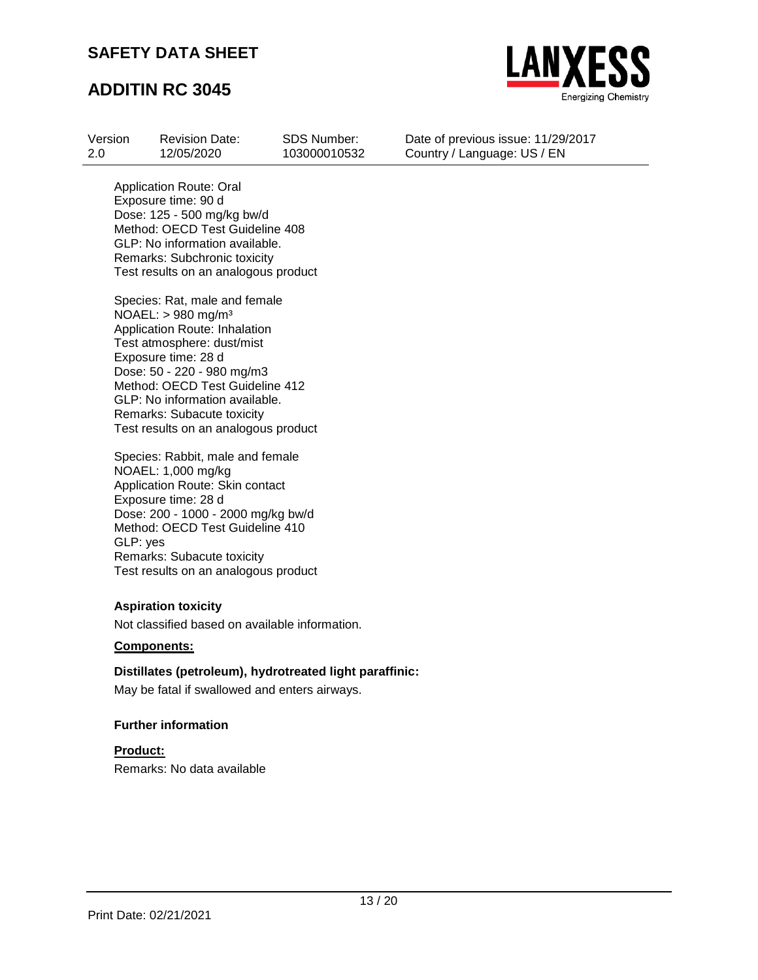

## **ADDITIN RC 3045**

| Version | <b>Revision Date:</b> | <b>SDS Number:</b> |
|---------|-----------------------|--------------------|
| 2.0     | 12/05/2020            | 103000010532       |

Date of previous issue: 11/29/2017 Country / Language: US / EN

Application Route: Oral Exposure time: 90 d Dose: 125 - 500 mg/kg bw/d Method: OECD Test Guideline 408 GLP: No information available. Remarks: Subchronic toxicity Test results on an analogous product

Species: Rat, male and female NOAEL: > 980 mg/m³ Application Route: Inhalation Test atmosphere: dust/mist Exposure time: 28 d Dose: 50 - 220 - 980 mg/m3 Method: OECD Test Guideline 412 GLP: No information available. Remarks: Subacute toxicity Test results on an analogous product

Species: Rabbit, male and female NOAEL: 1,000 mg/kg Application Route: Skin contact Exposure time: 28 d Dose: 200 - 1000 - 2000 mg/kg bw/d Method: OECD Test Guideline 410 GLP: yes Remarks: Subacute toxicity Test results on an analogous product

### **Aspiration toxicity**

Not classified based on available information.

#### **Components:**

### **Distillates (petroleum), hydrotreated light paraffinic:**

May be fatal if swallowed and enters airways.

### **Further information**

**Product:** Remarks: No data available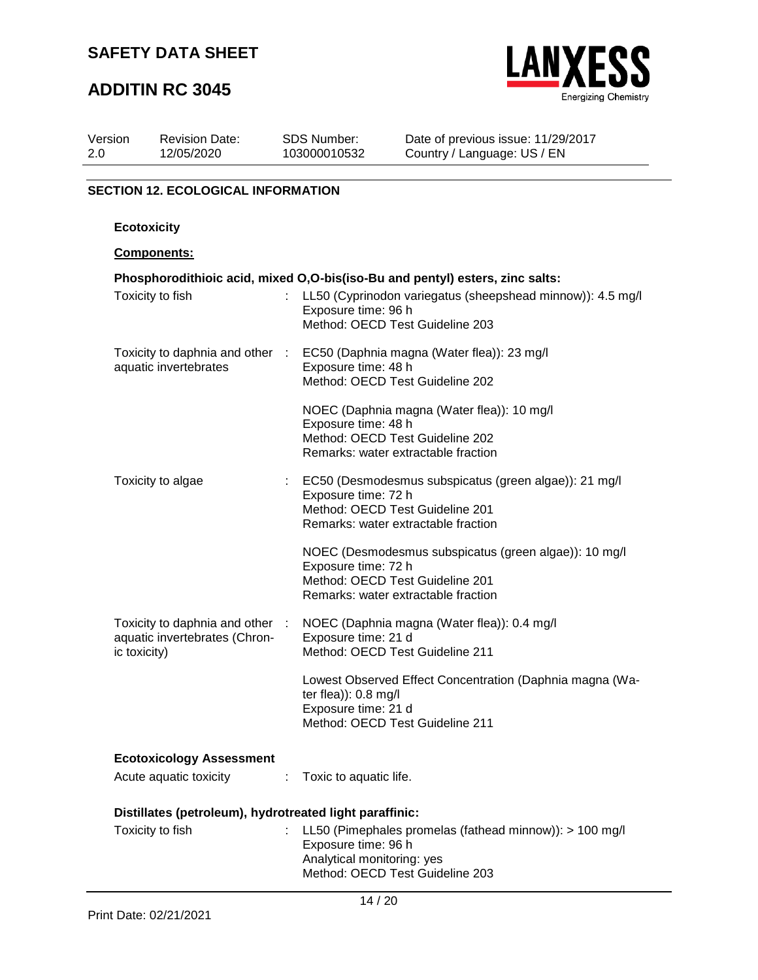## **ADDITIN RC 3045**



| Version | <b>Revision Date:</b> | <b>SDS Number:</b> |
|---------|-----------------------|--------------------|
| 2.0     | 12/05/2020            | 103000010532       |

Date of previous issue: 11/29/2017 Country / Language: US / EN

### **SECTION 12. ECOLOGICAL INFORMATION**

### **Ecotoxicity**

#### **Components:**

| Phosphorodithioic acid, mixed O,O-bis(iso-Bu and pentyl) esters, zinc salts:   |      |                                                                                                                                                          |  |  |  |
|--------------------------------------------------------------------------------|------|----------------------------------------------------------------------------------------------------------------------------------------------------------|--|--|--|
| Toxicity to fish                                                               |      | LL50 (Cyprinodon variegatus (sheepshead minnow)): 4.5 mg/l<br>Exposure time: 96 h<br>Method: OECD Test Guideline 203                                     |  |  |  |
| Toxicity to daphnia and other :<br>aquatic invertebrates                       |      | EC50 (Daphnia magna (Water flea)): 23 mg/l<br>Exposure time: 48 h<br>Method: OECD Test Guideline 202                                                     |  |  |  |
|                                                                                |      | NOEC (Daphnia magna (Water flea)): 10 mg/l<br>Exposure time: 48 h<br>Method: OECD Test Guideline 202<br>Remarks: water extractable fraction              |  |  |  |
| Toxicity to algae                                                              |      | : EC50 (Desmodesmus subspicatus (green algae)): 21 mg/l<br>Exposure time: 72 h<br>Method: OECD Test Guideline 201<br>Remarks: water extractable fraction |  |  |  |
|                                                                                |      | NOEC (Desmodesmus subspicatus (green algae)): 10 mg/l<br>Exposure time: 72 h<br>Method: OECD Test Guideline 201<br>Remarks: water extractable fraction   |  |  |  |
| Toxicity to daphnia and other<br>aquatic invertebrates (Chron-<br>ic toxicity) | - 11 | NOEC (Daphnia magna (Water flea)): 0.4 mg/l<br>Exposure time: 21 d<br>Method: OECD Test Guideline 211                                                    |  |  |  |
|                                                                                |      | Lowest Observed Effect Concentration (Daphnia magna (Wa-<br>ter flea)): 0.8 mg/l<br>Exposure time: 21 d<br>Method: OECD Test Guideline 211               |  |  |  |
| <b>Ecotoxicology Assessment</b>                                                |      |                                                                                                                                                          |  |  |  |
| Acute aquatic toxicity :                                                       |      | Toxic to aquatic life.                                                                                                                                   |  |  |  |
| Distillates (petroleum), hydrotreated light paraffinic:                        |      |                                                                                                                                                          |  |  |  |
| Toxicity to fish                                                               |      | LL50 (Pimephales promelas (fathead minnow)): > 100 mg/l<br>Exposure time: 96 h<br>Analytical monitoring: yes                                             |  |  |  |

Method: OECD Test Guideline 203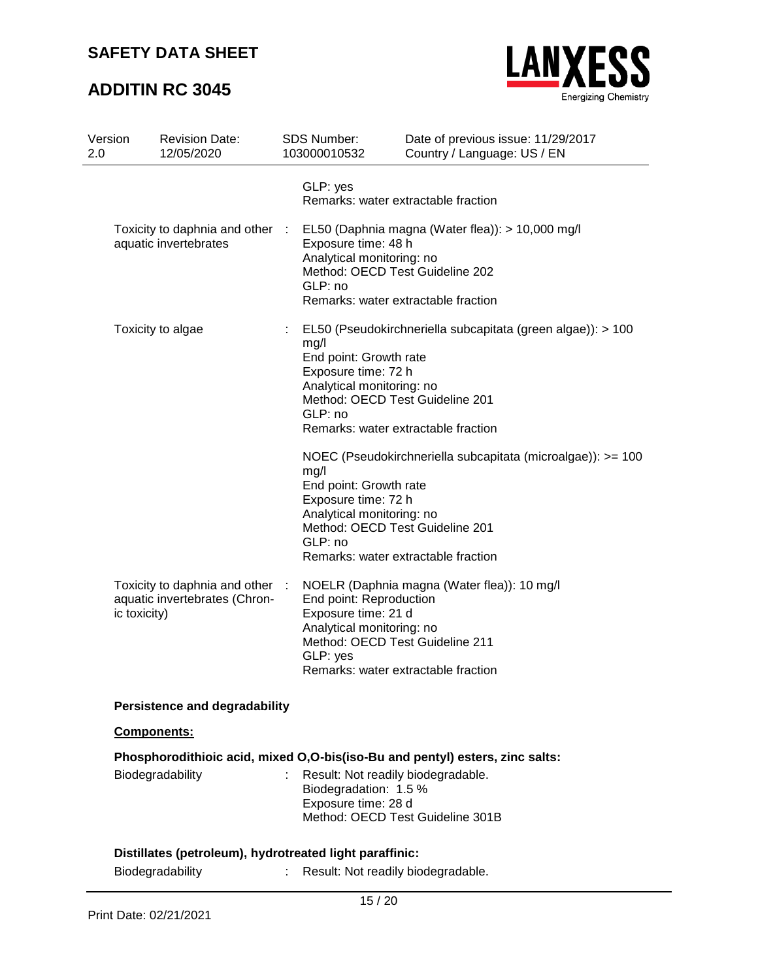# **ADDITIN RC 3045**



| Version<br>2.0 | <b>Revision Date:</b><br>12/05/2020                              |   | SDS Number:<br>103000010532                                                                   | Date of previous issue: 11/29/2017<br>Country / Language: US / EN                                                                     |
|----------------|------------------------------------------------------------------|---|-----------------------------------------------------------------------------------------------|---------------------------------------------------------------------------------------------------------------------------------------|
|                |                                                                  |   | GLP: yes                                                                                      | Remarks: water extractable fraction                                                                                                   |
|                | Toxicity to daphnia and other :<br>aquatic invertebrates         |   | Exposure time: 48 h<br>Analytical monitoring: no<br>GLP: no                                   | EL50 (Daphnia magna (Water flea)): > 10,000 mg/l<br>Method: OECD Test Guideline 202<br>Remarks: water extractable fraction            |
|                | Toxicity to algae                                                | ÷ | mg/l<br>End point: Growth rate<br>Exposure time: 72 h<br>Analytical monitoring: no<br>GLP: no | EL50 (Pseudokirchneriella subcapitata (green algae)): > 100<br>Method: OECD Test Guideline 201<br>Remarks: water extractable fraction |
|                |                                                                  |   | mg/l<br>End point: Growth rate<br>Exposure time: 72 h<br>Analytical monitoring: no<br>GLP: no | NOEC (Pseudokirchneriella subcapitata (microalgae)): >= 100<br>Method: OECD Test Guideline 201<br>Remarks: water extractable fraction |
| ic toxicity)   | Toxicity to daphnia and other :<br>aquatic invertebrates (Chron- |   | End point: Reproduction<br>Exposure time: 21 d<br>Analytical monitoring: no<br>GLP: yes       | NOELR (Daphnia magna (Water flea)): 10 mg/l<br>Method: OECD Test Guideline 211<br>Remarks: water extractable fraction                 |
|                | <b>Persistence and degradability</b>                             |   |                                                                                               |                                                                                                                                       |
|                | Components:                                                      |   |                                                                                               |                                                                                                                                       |
|                |                                                                  |   |                                                                                               | Phosphorodithioic acid, mixed O,O-bis(iso-Bu and pentyl) esters, zinc salts:                                                          |
|                | Biodegradability                                                 |   | Biodegradation: 1.5 %<br>Exposure time: 28 d                                                  | Result: Not readily biodegradable.<br>Method: OECD Test Guideline 301B                                                                |
|                | Distillates (petroleum), hydrotreated light paraffinic:          |   |                                                                                               |                                                                                                                                       |
|                | Biodegradability                                                 |   |                                                                                               | Result: Not readily biodegradable.                                                                                                    |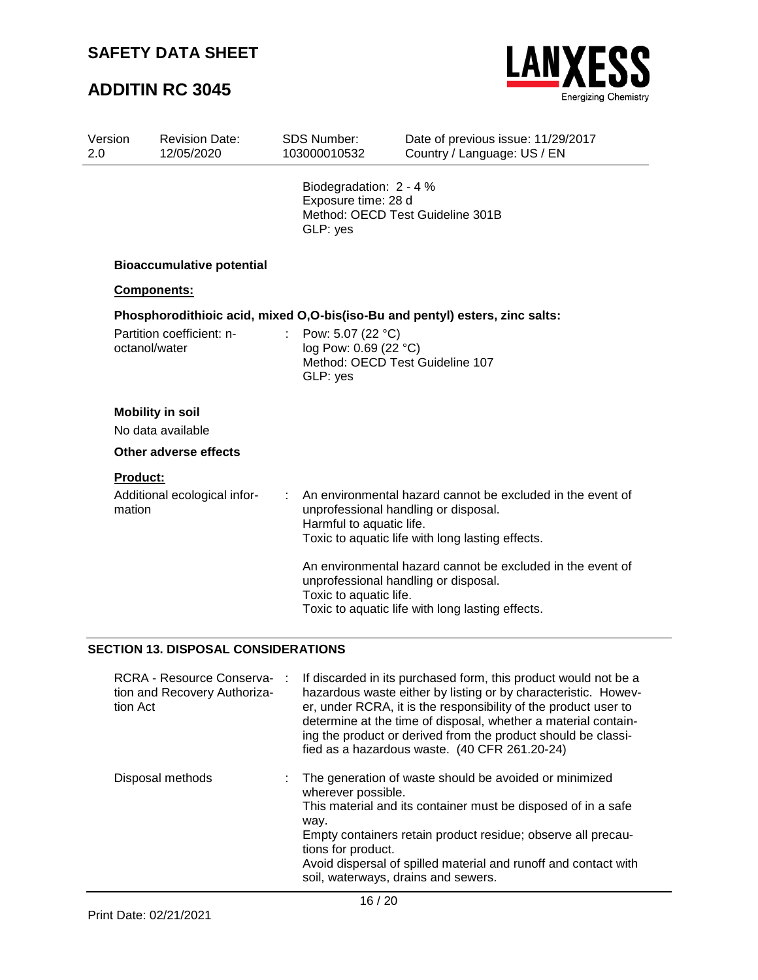# **ADDITIN RC 3045**



| 103000010532                                                                                                                                                                                                              | Country / Language: US / EN                                                                                                                                                                                                          |
|---------------------------------------------------------------------------------------------------------------------------------------------------------------------------------------------------------------------------|--------------------------------------------------------------------------------------------------------------------------------------------------------------------------------------------------------------------------------------|
| GLP: yes                                                                                                                                                                                                                  | Method: OECD Test Guideline 301B                                                                                                                                                                                                     |
|                                                                                                                                                                                                                           |                                                                                                                                                                                                                                      |
|                                                                                                                                                                                                                           |                                                                                                                                                                                                                                      |
|                                                                                                                                                                                                                           |                                                                                                                                                                                                                                      |
| $\epsilon$<br>GLP: yes                                                                                                                                                                                                    | Method: OECD Test Guideline 107                                                                                                                                                                                                      |
|                                                                                                                                                                                                                           |                                                                                                                                                                                                                                      |
|                                                                                                                                                                                                                           |                                                                                                                                                                                                                                      |
|                                                                                                                                                                                                                           |                                                                                                                                                                                                                                      |
|                                                                                                                                                                                                                           |                                                                                                                                                                                                                                      |
| ÷                                                                                                                                                                                                                         | An environmental hazard cannot be excluded in the event of<br>unprofessional handling or disposal.<br>Toxic to aquatic life with long lasting effects.                                                                               |
|                                                                                                                                                                                                                           | An environmental hazard cannot be excluded in the event of<br>unprofessional handling or disposal.<br>Toxic to aquatic life with long lasting effects.                                                                               |
| <b>Bioaccumulative potential</b><br>Components:<br>Partition coefficient: n-<br>octanol/water<br><b>Mobility in soil</b><br>No data available<br>Other adverse effects<br><b>Product:</b><br>Additional ecological infor- | Biodegradation: 2 - 4 %<br>Exposure time: 28 d<br>Phosphorodithioic acid, mixed O, O-bis (iso-Bu and pentyl) esters, zinc salts:<br>Pow: 5.07 (22 °C)<br>log Pow: 0.69 (22 °C)<br>Harmful to aquatic life.<br>Toxic to aquatic life. |

### **SECTION 13. DISPOSAL CONSIDERATIONS**

| RCRA - Resource Conserva-<br>÷<br>tion and Recovery Authoriza-<br>tion Act | If discarded in its purchased form, this product would not be a<br>hazardous waste either by listing or by characteristic. Howev-<br>er, under RCRA, it is the responsibility of the product user to<br>determine at the time of disposal, whether a material contain-<br>ing the product or derived from the product should be classi-<br>fied as a hazardous waste. (40 CFR 261.20-24) |
|----------------------------------------------------------------------------|------------------------------------------------------------------------------------------------------------------------------------------------------------------------------------------------------------------------------------------------------------------------------------------------------------------------------------------------------------------------------------------|
| Disposal methods                                                           | The generation of waste should be avoided or minimized<br>wherever possible.<br>This material and its container must be disposed of in a safe<br>way.<br>Empty containers retain product residue; observe all precau-<br>tions for product.<br>Avoid dispersal of spilled material and runoff and contact with<br>soil, waterways, drains and sewers.                                    |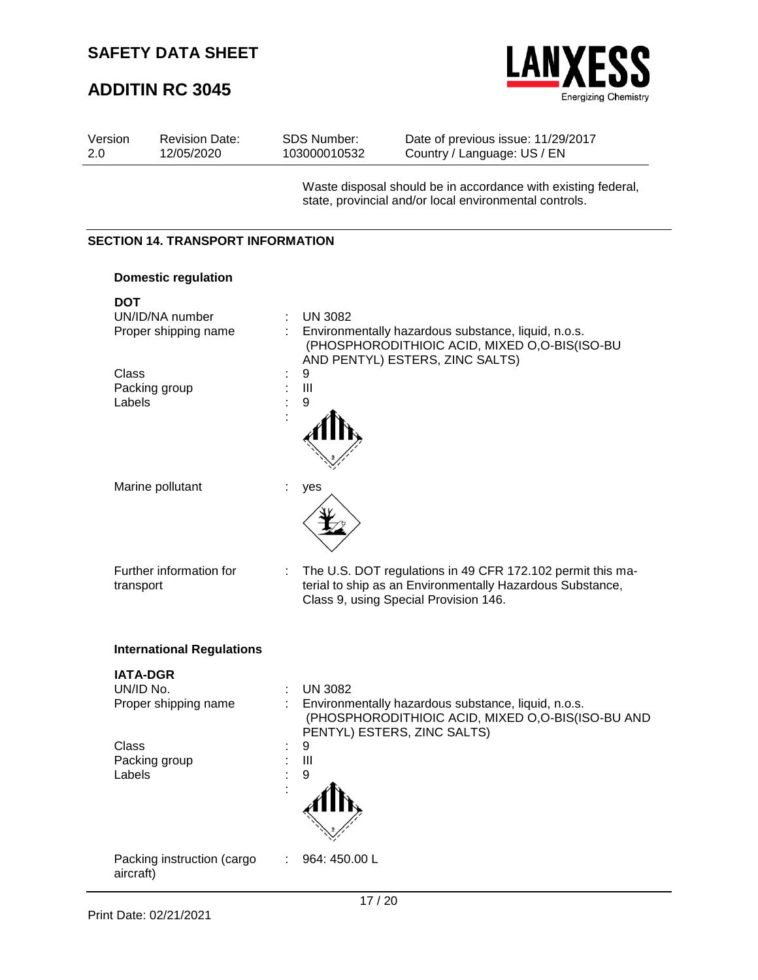# **ADDITIN RC 3045**



| Version<br>2.0  | <b>Revision Date:</b><br>12/05/2020      | <b>SDS Number:</b><br>103000010532 | Date of previous issue: 11/29/2017<br>Country / Language: US / EN                                                                                                |
|-----------------|------------------------------------------|------------------------------------|------------------------------------------------------------------------------------------------------------------------------------------------------------------|
|                 |                                          |                                    | Waste disposal should be in accordance with existing federal,<br>state, provincial and/or local environmental controls.                                          |
|                 | <b>SECTION 14. TRANSPORT INFORMATION</b> |                                    |                                                                                                                                                                  |
|                 | <b>Domestic regulation</b>               |                                    |                                                                                                                                                                  |
| <b>DOT</b>      | UN/ID/NA number<br>Proper shipping name  | <b>UN 3082</b><br>÷                | Environmentally hazardous substance, liquid, n.o.s.<br>(PHOSPHORODITHIOIC ACID, MIXED O,O-BIS(ISO-BU<br>AND PENTYL) ESTERS, ZINC SALTS)                          |
| Class<br>Labels | Packing group                            | 9<br>Ш<br>þ<br>9                   |                                                                                                                                                                  |
|                 | Marine pollutant                         | yes                                |                                                                                                                                                                  |
| transport       | Further information for                  |                                    | The U.S. DOT regulations in 49 CFR 172.102 permit this ma-<br>terial to ship as an Environmentally Hazardous Substance,<br>Class 9, using Special Provision 146. |
|                 | <b>International Regulations</b>         |                                    |                                                                                                                                                                  |
|                 | <b>IATA-DGR</b>                          |                                    |                                                                                                                                                                  |
| UN/ID No.       | Proper shipping name                     | <b>UN 3082</b>                     | Environmentally hazardous substance, liquid, n.o.s.<br>(PHOSPHORODITHIOIC ACID, MIXED O,O-BIS(ISO-BU AND<br>PENTYL) ESTERS, ZINC SALTS)                          |
| Class<br>Labels | Packing group                            | 9<br>Ш<br>9                        |                                                                                                                                                                  |
| aircraft)       | Packing instruction (cargo               | 964: 450.00 L                      |                                                                                                                                                                  |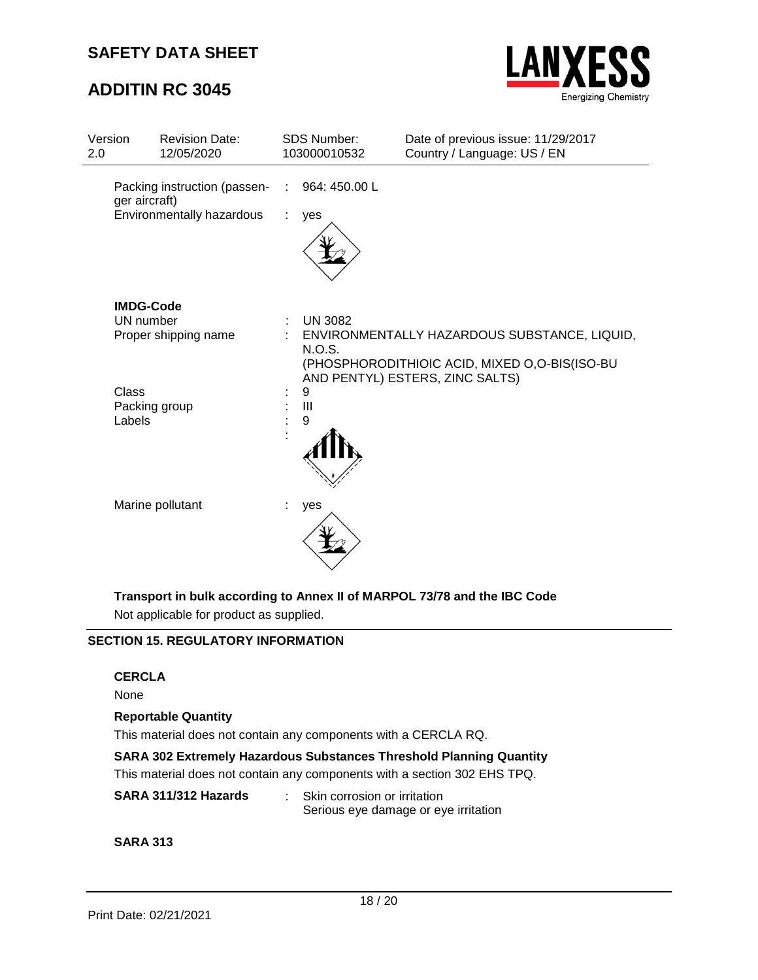## **ADDITIN RC 3045**



| Version<br>2.0         | <b>Revision Date:</b><br>12/05/2020                                        |   | SDS Number:<br>103000010532 | Date of previous issue: 11/29/2017<br>Country / Language: US / EN                                                                |
|------------------------|----------------------------------------------------------------------------|---|-----------------------------|----------------------------------------------------------------------------------------------------------------------------------|
|                        | Packing instruction (passen-<br>ger aircraft)<br>Environmentally hazardous |   | 964: 450.00 L<br>yes        |                                                                                                                                  |
|                        | <b>IMDG-Code</b><br>UN number<br>Proper shipping name                      | ÷ | <b>UN 3082</b><br>N.O.S.    | ENVIRONMENTALLY HAZARDOUS SUBSTANCE, LIQUID,<br>(PHOSPHORODITHIOIC ACID, MIXED O,O-BIS(ISO-BU<br>AND PENTYL) ESTERS, ZINC SALTS) |
| <b>Class</b><br>Labels | Packing group                                                              |   | 9<br>III<br>9               |                                                                                                                                  |
|                        | Marine pollutant                                                           |   | yes                         |                                                                                                                                  |

**Transport in bulk according to Annex II of MARPOL 73/78 and the IBC Code**

Not applicable for product as supplied.

### **SECTION 15. REGULATORY INFORMATION**

#### **CERCLA**

None

#### **Reportable Quantity**

This material does not contain any components with a CERCLA RQ.

#### **SARA 302 Extremely Hazardous Substances Threshold Planning Quantity**

This material does not contain any components with a section 302 EHS TPQ.

#### **SARA 311/312 Hazards** : Skin corrosion or irritation Serious eye damage or eye irritation

**SARA 313**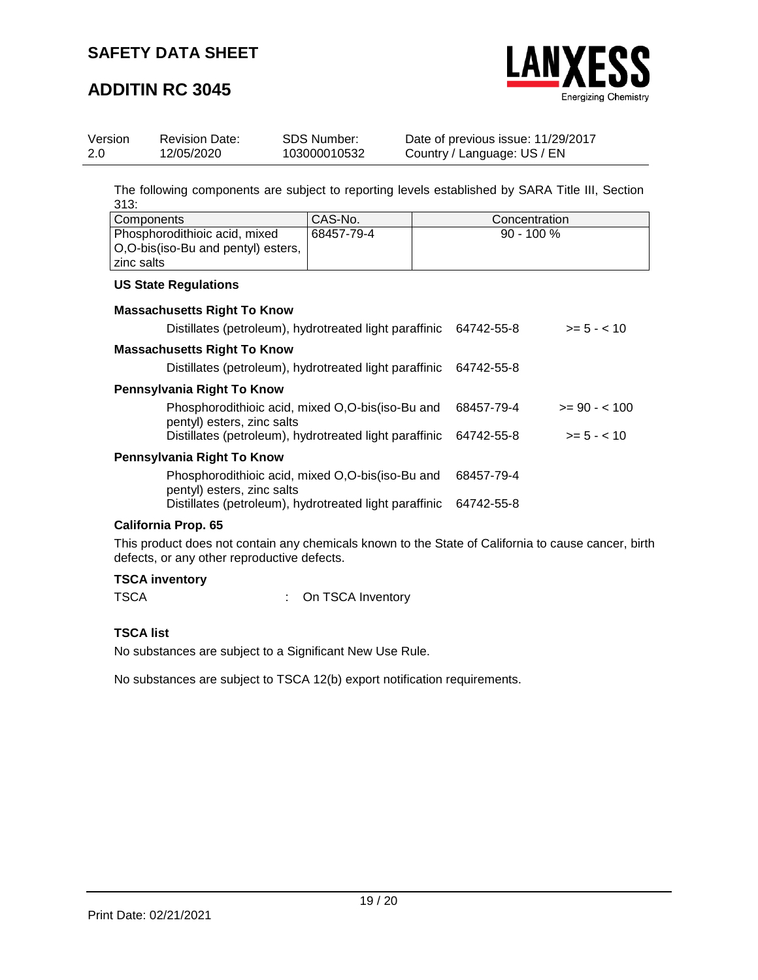

## **ADDITIN RC 3045**

| Version | <b>Revision Date:</b> | SDS Number:  | Date of previous issue: 11/29/2017 |
|---------|-----------------------|--------------|------------------------------------|
| 2.0     | 12/05/2020            | 103000010532 | Country / Language: US / EN        |

The following components are subject to reporting levels established by SARA Title III, Section 313:

| l Components                                                                          | CAS-No.    | Concentration |
|---------------------------------------------------------------------------------------|------------|---------------|
| Phosphorodithioic acid, mixed<br>  O, O-bis (iso-Bu and pentyl) esters,<br>zinc salts | 68457-79-4 | $90 - 100 %$  |

#### **US State Regulations**

| <b>Massachusetts Right To Know</b>                                             |            |               |
|--------------------------------------------------------------------------------|------------|---------------|
| Distillates (petroleum), hydrotreated light paraffinic                         | 64742-55-8 | $>= 5 - < 10$ |
| <b>Massachusetts Right To Know</b>                                             |            |               |
| Distillates (petroleum), hydrotreated light paraffinic                         | 64742-55-8 |               |
| Pennsylvania Right To Know                                                     |            |               |
| Phosphorodithioic acid, mixed O,O-bis(iso-Bu and<br>pentyl) esters, zinc salts | 68457-79-4 | $>= 90 - 100$ |
| Distillates (petroleum), hydrotreated light paraffinic                         | 64742-55-8 | $>= 5 - < 10$ |
| Pennsylvania Right To Know                                                     |            |               |
| Phosphorodithioic acid, mixed O,O-bis(iso-Bu and<br>pentyl) esters, zinc salts | 68457-79-4 |               |
| Distillates (petroleum), hydrotreated light paraffinic                         | 64742-55-8 |               |

#### **California Prop. 65**

This product does not contain any chemicals known to the State of California to cause cancer, birth defects, or any other reproductive defects.

### **TSCA inventory**

TSCA : On TSCA Inventory

### **TSCA list**

No substances are subject to a Significant New Use Rule.

No substances are subject to TSCA 12(b) export notification requirements.